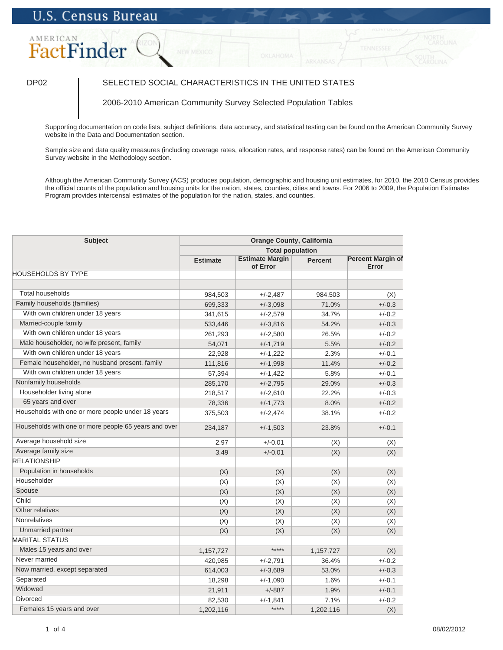# AMERICAN FactFinder

## DP02 SELECTED SOCIAL CHARACTERISTICS IN THE UNITED STATES

### 2006-2010 American Community Survey Selected Population Tables

Supporting documentation on code lists, subject definitions, data accuracy, and statistical testing can be found on the American Community Survey website in the Data and Documentation section.

Sample size and data quality measures (including coverage rates, allocation rates, and response rates) can be found on the American Community Survey website in the Methodology section.

Although the American Community Survey (ACS) produces population, demographic and housing unit estimates, for 2010, the 2010 Census provides the official counts of the population and housing units for the nation, states, counties, cities and towns. For 2006 to 2009, the Population Estimates Program provides intercensal estimates of the population for the nation, states, and counties.

| <b>Subject</b>                                       | <b>Orange County, California</b> |                                    |                |                                   |
|------------------------------------------------------|----------------------------------|------------------------------------|----------------|-----------------------------------|
|                                                      | <b>Total population</b>          |                                    |                |                                   |
|                                                      | <b>Estimate</b>                  | <b>Estimate Margin</b><br>of Error | <b>Percent</b> | <b>Percent Margin of</b><br>Error |
| <b>HOUSEHOLDS BY TYPE</b>                            |                                  |                                    |                |                                   |
|                                                      |                                  |                                    |                |                                   |
| <b>Total households</b>                              | 984,503                          | $+/-2,487$                         | 984,503        | (X)                               |
| Family households (families)                         | 699,333                          | $+/-3,098$                         | 71.0%          | $+/-0.3$                          |
| With own children under 18 years                     | 341,615                          | $+/-2,579$                         | 34.7%          | $+/-0.2$                          |
| Married-couple family                                | 533,446                          | $+/-3,816$                         | 54.2%          | $+/-0.3$                          |
| With own children under 18 years                     | 261,293                          | $+/-2,580$                         | 26.5%          | $+/-0.2$                          |
| Male householder, no wife present, family            | 54,071                           | $+/-1,719$                         | 5.5%           | $+/-0.2$                          |
| With own children under 18 years                     | 22,928                           | $+/-1,222$                         | 2.3%           | $+/-0.1$                          |
| Female householder, no husband present, family       | 111,816                          | $+/-1,998$                         | 11.4%          | $+/-0.2$                          |
| With own children under 18 years                     | 57,394                           | $+/-1,422$                         | 5.8%           | $+/-0.1$                          |
| Nonfamily households                                 | 285,170                          | $+/-2,795$                         | 29.0%          | $+/-0.3$                          |
| Householder living alone                             | 218,517                          | $+/-2,610$                         | 22.2%          | $+/-0.3$                          |
| 65 years and over                                    | 78,336                           | $+/-1,773$                         | 8.0%           | $+/-0.2$                          |
| Households with one or more people under 18 years    | 375,503                          | $+/-2,474$                         | 38.1%          | $+/-0.2$                          |
| Households with one or more people 65 years and over | 234,187                          | $+/-1,503$                         | 23.8%          | $+/-0.1$                          |
| Average household size                               | 2.97                             | $+/-0.01$                          | (X)            | (X)                               |
| Average family size                                  | 3.49                             | $+/-0.01$                          | (X)            | (X)                               |
| <b>RELATIONSHIP</b>                                  |                                  |                                    |                |                                   |
| Population in households                             | (X)                              | (X)                                | (X)            | (X)                               |
| Householder                                          | (X)                              | (X)                                | (X)            | (X)                               |
| Spouse                                               | (X)                              | (X)                                | (X)            | (X)                               |
| Child                                                | (X)                              | (X)                                | (X)            | (X)                               |
| Other relatives                                      | (X)                              | (X)                                | (X)            | (X)                               |
| Nonrelatives                                         | (X)                              | (X)                                | (X)            | (X)                               |
| Unmarried partner                                    | (X)                              | (X)                                | (X)            | (X)                               |
| <b>MARITAL STATUS</b>                                |                                  |                                    |                |                                   |
| Males 15 years and over                              | 1,157,727                        | *****                              | 1,157,727      | (X)                               |
| Never married                                        | 420,985                          | $+/-2,791$                         | 36.4%          | $+/-0.2$                          |
| Now married, except separated                        | 614,003                          | $+/-3,689$                         | 53.0%          | $+/-0.3$                          |
| Separated                                            | 18,298                           | $+/-1,090$                         | 1.6%           | $+/-0.1$                          |
| Widowed                                              | 21,911                           | $+/-887$                           | 1.9%           | $+/-0.1$                          |
| Divorced                                             | 82,530                           | $+/-1,841$                         | 7.1%           | $+/-0.2$                          |
| Females 15 years and over                            | 1,202,116                        | *****                              | 1,202,116      | (X)                               |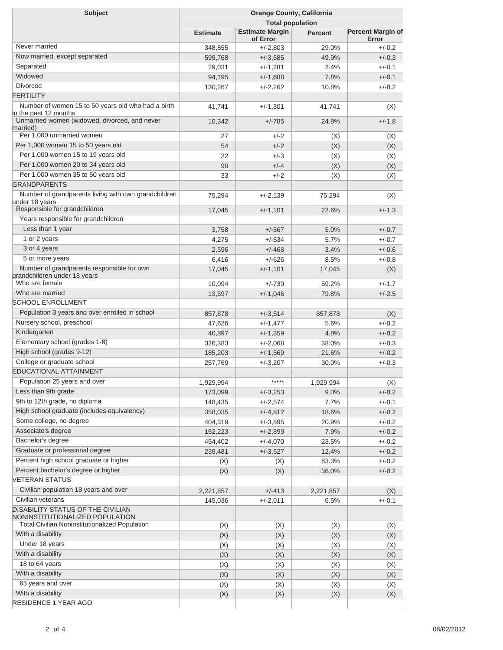| <b>Subject</b>                                                              | <b>Orange County, California</b><br><b>Total population</b> |                                    |                |                                   |  |
|-----------------------------------------------------------------------------|-------------------------------------------------------------|------------------------------------|----------------|-----------------------------------|--|
|                                                                             |                                                             |                                    |                |                                   |  |
|                                                                             | <b>Estimate</b>                                             | <b>Estimate Margin</b><br>of Error | <b>Percent</b> | <b>Percent Margin of</b><br>Error |  |
| Never married                                                               | 348,855                                                     | $+/-2,803$                         | 29.0%          | $+/-0.2$                          |  |
| Now married, except separated                                               | 599,768                                                     | $+/-3,685$                         | 49.9%          | $+/-0.3$                          |  |
| Separated                                                                   | 29,031                                                      | $+/-1,281$                         | 2.4%           | $+/-0.1$                          |  |
| Widowed                                                                     | 94,195                                                      | $+/-1,688$                         | 7.8%           | $+/-0.1$                          |  |
| <b>Divorced</b>                                                             | 130,267                                                     | $+/-2,262$                         | 10.8%          | $+/-0.2$                          |  |
| <b>FERTILITY</b>                                                            |                                                             |                                    |                |                                   |  |
| Number of women 15 to 50 years old who had a birth<br>in the past 12 months | 41,741                                                      | $+/-1,301$                         | 41,741         | (X)                               |  |
| Unmarried women (widowed, divorced, and never<br>married)                   | 10,342                                                      | $+/-785$                           | 24.8%          | $+/-1.8$                          |  |
| Per 1,000 unmarried women                                                   | 27                                                          | $+/-2$                             | (X)            | (X)                               |  |
| Per 1,000 women 15 to 50 years old                                          | 54                                                          | $+/-2$                             | (X)            | (X)                               |  |
| Per 1,000 women 15 to 19 years old                                          | 22                                                          | $+/-3$                             | (X)            | (X)                               |  |
| Per 1,000 women 20 to 34 years old                                          | 90                                                          | $+/-4$                             | (X)            | (X)                               |  |
| Per 1,000 women 35 to 50 years old                                          | 33                                                          | $+/-2$                             | (X)            | (X)                               |  |
| <b>GRANDPARENTS</b>                                                         |                                                             |                                    |                |                                   |  |
| Number of grandparents living with own grandchildren<br>under 18 years      | 75,294                                                      | $+/-2,139$                         | 75,294         | (X)                               |  |
| Responsible for grandchildren                                               | 17,045                                                      | $+/-1,101$                         | 22.6%          | $+/-1.3$                          |  |
| Years responsible for grandchildren                                         |                                                             |                                    |                |                                   |  |
| Less than 1 year                                                            | 3,758                                                       | $+/-567$                           | 5.0%           | $+/-0.7$                          |  |
| 1 or 2 years                                                                | 4,275                                                       | $+/-534$                           | 5.7%           | $+/-0.7$                          |  |
| 3 or 4 years                                                                | 2,596                                                       | $+/-468$                           | 3.4%           | $+/-0.6$                          |  |
| 5 or more years                                                             | 6,416                                                       | $+/-626$                           | 8.5%           | $+/-0.8$                          |  |
| Number of grandparents responsible for own<br>grandchildren under 18 years  | 17,045                                                      | $+/-1,101$                         | 17,045         | (X)                               |  |
| Who are female                                                              | 10,094                                                      | $+/-739$                           | 59.2%          | $+/-1.7$                          |  |
| Who are married                                                             | 13,597                                                      | $+/-1,046$                         | 79.8%          | $+/-2.5$                          |  |
| <b>SCHOOL ENROLLMENT</b>                                                    |                                                             |                                    |                |                                   |  |
| Population 3 years and over enrolled in school                              | 857,878                                                     | $+/-3,514$                         | 857,878        | (X)                               |  |
| Nursery school, preschool                                                   | 47,626                                                      | $+/-1,477$                         | 5.6%           | $+/-0.2$                          |  |
| Kindergarten                                                                | 40,897                                                      | $+/-1,359$                         | 4.8%           | $+/-0.2$                          |  |
| Elementary school (grades 1-8)                                              | 326,383                                                     | $+/-2,068$                         | 38.0%          | $+/-0.3$                          |  |
| High school (grades 9-12)                                                   | 185,203                                                     | $+/-1,569$                         | 21.6%          | $+/-0.2$                          |  |
| College or graduate school                                                  | 257,769                                                     | $+/-3,207$                         | 30.0%          | $+/-0.3$                          |  |
| EDUCATIONAL ATTAINMENT                                                      |                                                             |                                    |                |                                   |  |
| Population 25 years and over                                                | 1,929,994                                                   | *****                              | 1,929,994      | (X)                               |  |
| Less than 9th grade                                                         | 173,099                                                     | $+/-3,253$                         | 9.0%           | $+/-0.2$                          |  |
| 9th to 12th grade, no diploma                                               | 148,435                                                     | $+/-2,574$                         | 7.7%           | $+/-0.1$                          |  |
| High school graduate (includes equivalency)                                 |                                                             |                                    |                | $+/-0.2$                          |  |
| Some college, no degree                                                     | 358,035                                                     | $+/-4,812$                         | 18.6%          |                                   |  |
| Associate's degree                                                          | 404,319                                                     | $+/-3,895$                         | 20.9%          | $+/-0.2$                          |  |
| Bachelor's degree                                                           | 152,223                                                     | $+/-2,899$                         | 7.9%           | $+/-0.2$                          |  |
| Graduate or professional degree                                             | 454,402                                                     | $+/-4,070$                         | 23.5%          | $+/-0.2$                          |  |
| Percent high school graduate or higher                                      | 239,481                                                     | $+/-3,527$                         | 12.4%          | $+/-0.2$                          |  |
|                                                                             | (X)                                                         | (X)                                | 83.3%          | $+/-0.2$                          |  |
| Percent bachelor's degree or higher<br><b>VETERAN STATUS</b>                | (X)                                                         | (X)                                | 36.0%          | $+/-0.2$                          |  |
| Civilian population 18 years and over                                       | 2,221,857                                                   | $+/-413$                           | 2,221,857      | (X)                               |  |
| Civilian veterans                                                           | 145,036                                                     | $+/-2,011$                         | 6.5%           | $+/-0.1$                          |  |
| DISABILITY STATUS OF THE CIVILIAN<br>NONINSTITUTIONALIZED POPULATION        |                                                             |                                    |                |                                   |  |
| <b>Total Civilian Noninstitutionalized Population</b>                       | (X)                                                         | (X)                                | (X)            | (X)                               |  |
| With a disability                                                           | (X)                                                         | (X)                                | (X)            | (X)                               |  |
| Under 18 years                                                              | (X)                                                         | (X)                                | (X)            | (X)                               |  |
| With a disability                                                           | (X)                                                         | (X)                                | (X)            | (X)                               |  |
| 18 to 64 years                                                              | (X)                                                         | (X)                                | (X)            | (X)                               |  |
| With a disability                                                           | (X)                                                         | (X)                                | (X)            | (X)                               |  |
| 65 years and over                                                           | (X)                                                         | (X)                                | (X)            | (X)                               |  |
| With a disability                                                           | (X)                                                         | (X)                                | (X)            | (X)                               |  |
| RESIDENCE 1 YEAR AGO                                                        |                                                             |                                    |                |                                   |  |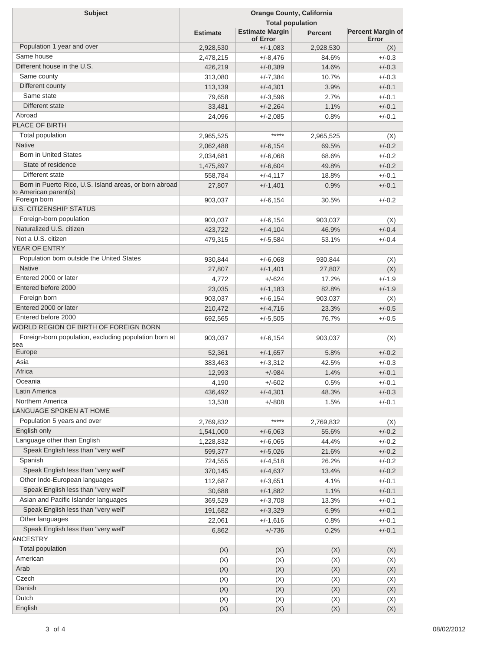| <b>Subject</b>                                                                  | <b>Orange County, California</b> |                                    |                |                                   |  |
|---------------------------------------------------------------------------------|----------------------------------|------------------------------------|----------------|-----------------------------------|--|
|                                                                                 | <b>Total population</b>          |                                    |                |                                   |  |
|                                                                                 | <b>Estimate</b>                  | <b>Estimate Margin</b><br>of Error | <b>Percent</b> | <b>Percent Margin of</b><br>Error |  |
| Population 1 year and over                                                      | 2,928,530                        | $+/-1,083$                         | 2,928,530      | (X)                               |  |
| Same house                                                                      | 2,478,215                        | $+/-8,476$                         | 84.6%          | $+/-0.3$                          |  |
| Different house in the U.S.                                                     | 426,219                          | $+/-8,389$                         | 14.6%          | $+/-0.3$                          |  |
| Same county                                                                     | 313,080                          | $+/-7,384$                         | 10.7%          | $+/-0.3$                          |  |
| Different county                                                                | 113,139                          | $+/-4,301$                         | 3.9%           | $+/-0.1$                          |  |
| Same state                                                                      | 79,658                           | $+/-3,596$                         | 2.7%           | $+/-0.1$                          |  |
| Different state                                                                 | 33,481                           | $+/-2,264$                         | 1.1%           | $+/-0.1$                          |  |
| Abroad                                                                          | 24,096                           | $+/-2.085$                         | 0.8%           | $+/-0.1$                          |  |
| <b>PLACE OF BIRTH</b>                                                           |                                  |                                    |                |                                   |  |
| Total population                                                                | 2,965,525                        | *****                              | 2,965,525      | (X)                               |  |
| <b>Native</b>                                                                   | 2,062,488                        | $+/-6,154$                         | 69.5%          | $+/-0.2$                          |  |
| <b>Born in United States</b>                                                    | 2,034,681                        | $+/-6,068$                         | 68.6%          | $+/-0.2$                          |  |
| State of residence                                                              | 1,475,897                        | $+/-6,604$                         | 49.8%          | $+/-0.2$                          |  |
| Different state                                                                 | 558,784                          | $+/-4, 117$                        | 18.8%          | $+/-0.1$                          |  |
| Born in Puerto Rico, U.S. Island areas, or born abroad<br>to American parent(s) | 27,807                           | $+/-1,401$                         | 0.9%           | $+/-0.1$                          |  |
| Foreign born                                                                    | 903,037                          | $+/-6,154$                         | 30.5%          | $+/-0.2$                          |  |
| <b>U.S. CITIZENSHIP STATUS</b>                                                  |                                  |                                    |                |                                   |  |
| Foreign-born population                                                         | 903,037                          | $+/-6,154$                         | 903,037        | (X)                               |  |
| Naturalized U.S. citizen                                                        | 423,722                          | $+/-4,104$                         | 46.9%          | $+/-0.4$                          |  |
| Not a U.S. citizen                                                              | 479,315                          | $+/-5,584$                         | 53.1%          | $+/-0.4$                          |  |
| YEAR OF ENTRY                                                                   |                                  |                                    |                |                                   |  |
| Population born outside the United States                                       | 930,844                          | $+/-6,068$                         | 930,844        | (X)                               |  |
| <b>Native</b>                                                                   | 27,807                           | $+/-1,401$                         | 27,807         | (X)                               |  |
| Entered 2000 or later                                                           | 4,772                            | $+/-624$                           | 17.2%          | $+/-1.9$                          |  |
| Entered before 2000                                                             | 23,035                           | $+/-1,183$                         | 82.8%          | $+/-1.9$                          |  |
| Foreign born                                                                    | 903,037                          | $+/-6,154$                         | 903,037        | (X)                               |  |
| Entered 2000 or later                                                           | 210,472                          | $+/-4,716$                         | 23.3%          | $+/-0.5$                          |  |
| Entered before 2000                                                             | 692,565                          | $+/-5,505$                         | 76.7%          | $+/-0.5$                          |  |
| WORLD REGION OF BIRTH OF FOREIGN BORN                                           |                                  |                                    |                |                                   |  |
| Foreign-born population, excluding population born at                           | 903,037                          | $+/-6,154$                         | 903,037        | (X)                               |  |
| sea                                                                             |                                  |                                    |                |                                   |  |
| Europe                                                                          | 52,361                           | $+/-1,657$                         | 5.8%           | $+/-0.2$                          |  |
| Asia                                                                            | 383,463                          | $+/-3,312$                         | 42.5%          | $+/-0.3$                          |  |
| Africa                                                                          | 12,993                           | $+/-984$                           | 1.4%           | $+/-0.1$                          |  |
| Oceania                                                                         | 4,190                            | $+/-602$                           | 0.5%           | $+/-0.1$                          |  |
| Latin America                                                                   | 436,492                          | $+/-4,301$                         | 48.3%          | $+/-0.3$                          |  |
| Northern America                                                                | 13,538                           | $+/-808$                           | 1.5%           | $+/-0.1$                          |  |
| LANGUAGE SPOKEN AT HOME                                                         |                                  |                                    |                |                                   |  |
| Population 5 years and over                                                     | 2,769,832                        | *****                              | 2,769,832      | (X)                               |  |
| English only                                                                    | 1,541,000                        | $+/-6,063$                         | 55.6%          | $+/-0.2$                          |  |
| Language other than English                                                     | 1,228,832                        | $+/-6,065$                         | 44.4%          | $+/-0.2$                          |  |
| Speak English less than "very well"                                             | 599,377                          | $+/-5,026$                         | 21.6%          | $+/-0.2$                          |  |
| Spanish                                                                         | 724,555                          | $+/-4,518$                         | 26.2%          | $+/-0.2$                          |  |
| Speak English less than "very well"                                             | 370,145                          | $+/-4,637$                         | 13.4%          | $+/-0.2$                          |  |
| Other Indo-European languages                                                   | 112,687                          | $+/-3,651$                         | 4.1%           | $+/-0.1$                          |  |
| Speak English less than "very well"                                             | 30,688                           | $+/-1,882$                         | 1.1%           | $+/-0.1$                          |  |
| Asian and Pacific Islander languages                                            | 369,529                          | $+/-3,708$                         | 13.3%          | $+/-0.1$                          |  |
| Speak English less than "very well"                                             | 191,682                          | $+/-3,329$                         | 6.9%           | $+/-0.1$                          |  |
| Other languages                                                                 | 22,061                           | $+/-1,616$                         | 0.8%           | $+/-0.1$                          |  |
| Speak English less than "very well"                                             | 6,862                            | $+/-736$                           | 0.2%           | $+/-0.1$                          |  |
| <b>ANCESTRY</b>                                                                 |                                  |                                    |                |                                   |  |
| Total population                                                                | (X)                              | (X)                                | (X)            | (X)                               |  |
| American                                                                        | (X)                              | (X)                                | (X)            | (X)                               |  |
| Arab                                                                            | (X)                              | (X)                                | (X)            | (X)                               |  |
| Czech                                                                           | (X)                              | (X)                                | (X)            | (X)                               |  |
| Danish                                                                          | (X)                              | (X)                                | (X)            | (X)                               |  |
| Dutch                                                                           | (X)                              | (X)                                | (X)            | (X)                               |  |
| English                                                                         | (X)                              | (X)                                | (X)            | (X)                               |  |